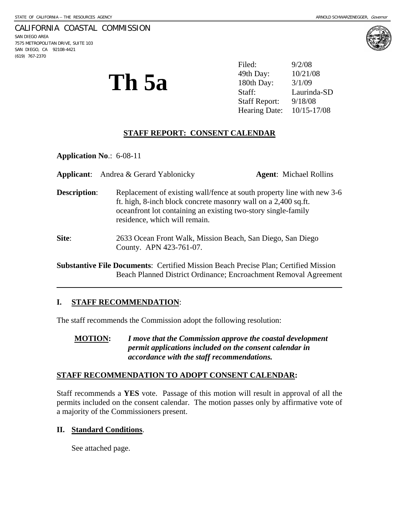### CALIFORNIA COASTAL COMMISSION

SAN DIEGO AREA 7575 METROPOLITAN DRIVE, SUITE 103 SAN DIEGO, CA 92108-4421 (619) 767-2370

l



**Th 5a**  $^{49th$  Day:  $^{10/21/08}$ <br> $^{180th}$  Day:  $^{3/1/09}$ <br> $^{3/1/09}$ <br>Laurinda-Filed: 9/2/08 Staff: Laurinda-SD Staff Report: 9/18/08 Hearing Date: 10/15-17/08

## **STAFF REPORT: CONSENT CALENDAR**

**Application No**.: 6-08-11

|                     | <b>Applicant:</b> Andrea & Gerard Yablonicky                                                                                                                     | <b>Agent:</b> Michael Rollins                                          |
|---------------------|------------------------------------------------------------------------------------------------------------------------------------------------------------------|------------------------------------------------------------------------|
| <b>Description:</b> | ft. high, 8-inch block concrete masonry wall on a 2,400 sq.ft.<br>oceanfront lot containing an existing two-story single-family<br>residence, which will remain. | Replacement of existing wall/fence at south property line with new 3-6 |
| Site:               | 2633 Ocean Front Walk, Mission Beach, San Diego, San Diego<br>County. APN 423-761-07.                                                                            |                                                                        |

**Substantive File Documents**: Certified Mission Beach Precise Plan; Certified Mission Beach Planned District Ordinance; Encroachment Removal Agreement

### **I. STAFF RECOMMENDATION**:

The staff recommends the Commission adopt the following resolution:

**MOTION:** *I move that the Commission approve the coastal development permit applications included on the consent calendar in accordance with the staff recommendations.* 

### **STAFF RECOMMENDATION TO ADOPT CONSENT CALENDAR:**

Staff recommends a **YES** vote. Passage of this motion will result in approval of all the permits included on the consent calendar. The motion passes only by affirmative vote of a majority of the Commissioners present.

### **II. Standard Conditions**.

See attached page.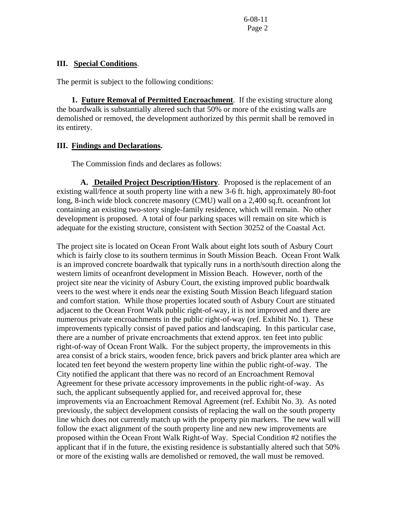### **III. Special Conditions**.

The permit is subject to the following conditions:

**1. Future Removal of Permitted Encroachment**. If the existing structure along the boardwalk is substantially altered such that 50% or more of the existing walls are demolished or removed, the development authorized by this permit shall be removed in its entirety.

### **III. Findings and Declarations.**

The Commission finds and declares as follows:

**A. Detailed Project Description/History**. Proposed is the replacement of an existing wall/fence at south property line with a new 3-6 ft. high, approximately 80-foot long, 8-inch wide block concrete masonry (CMU) wall on a 2,400 sq.ft. oceanfront lot containing an existing two-story single-family residence, which will remain. No other development is proposed. A total of four parking spaces will remain on site which is adequate for the existing structure, consistent with Section 30252 of the Coastal Act.

The project site is located on Ocean Front Walk about eight lots south of Asbury Court which is fairly close to its southern terminus in South Mission Beach. Ocean Front Walk is an improved concrete boardwalk that typically runs in a north/south direction along the western limits of oceanfront development in Mission Beach. However, north of the project site near the vicinity of Asbury Court, the existing improved public boardwalk veers to the west where it ends near the existing South Mission Beach lifeguard station and comfort station. While those properties located south of Asbury Court are stituated adjacent to the Ocean Front Walk public right-of-way, it is not improved and there are numerous private encroachments in the public right-of-way (ref. Exhibit No. 1). These improvements typically consist of paved patios and landscaping. In this particular case, there are a number of private encroachments that extend approx. ten feet into public right-of-way of Ocean Front Walk. For the subject property, the improvements in this area consist of a brick stairs, wooden fence, brick pavers and brick planter area which are located ten feet beyond the western property line within the public right-of-way. The City notified the applicant that there was no record of an Encroachment Removal Agreement for these private accessory improvements in the public right-of-way. As such, the applicant subsequently applied for, and received approval for, these improvements via an Encroachment Removal Agreement (ref. Exhibit No. 3). As noted previously, the subject development consists of replacing the wall on the south property line which does not currently match up with the property pin markers. The new wall will follow the exact alignment of the south property line and new new improvements are proposed within the Ocean Front Walk Right-of Way. Special Condition #2 notifies the applicant that if in the future, the existing residence is substantially altered such that 50% or more of the existing walls are demolished or removed, the wall must be removed.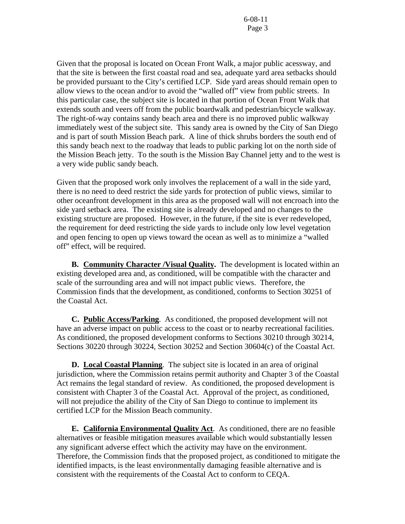Given that the proposal is located on Ocean Front Walk, a major public acessway, and that the site is between the first coastal road and sea, adequate yard area setbacks should be provided pursuant to the City's certified LCP. Side yard areas should remain open to allow views to the ocean and/or to avoid the "walled off" view from public streets. In this particular case, the subject site is located in that portion of Ocean Front Walk that extends south and veers off from the public boardwalk and pedestrian/bicycle walkway. The right-of-way contains sandy beach area and there is no improved public walkway immediately west of the subject site. This sandy area is owned by the City of San Diego and is part of south Mission Beach park. A line of thick shrubs borders the south end of this sandy beach next to the roadway that leads to public parking lot on the north side of the Mission Beach jetty. To the south is the Mission Bay Channel jetty and to the west is a very wide public sandy beach.

Given that the proposed work only involves the replacement of a wall in the side yard, there is no need to deed restrict the side yards for protection of public views, similar to other oceanfront development in this area as the proposed wall will not encroach into the side yard setback area. The existing site is already developed and no changes to the existing structure are proposed. However, in the future, if the site is ever redeveloped, the requirement for deed restricting the side yards to include only low level vegetation and open fencing to open up views toward the ocean as well as to minimize a "walled off" effect, will be required.

 **B. Community Character /Visual Quality.** The development is located within an existing developed area and, as conditioned, will be compatible with the character and scale of the surrounding area and will not impact public views. Therefore, the Commission finds that the development, as conditioned, conforms to Section 30251 of the Coastal Act.

**C. Public Access/Parking**. As conditioned, the proposed development will not have an adverse impact on public access to the coast or to nearby recreational facilities. As conditioned, the proposed development conforms to Sections 30210 through 30214, Sections 30220 through 30224, Section 30252 and Section 30604(c) of the Coastal Act.

 **D. Local Coastal Planning**. The subject site is located in an area of original jurisdiction, where the Commission retains permit authority and Chapter 3 of the Coastal Act remains the legal standard of review. As conditioned, the proposed development is consistent with Chapter 3 of the Coastal Act. Approval of the project, as conditioned, will not prejudice the ability of the City of San Diego to continue to implement its certified LCP for the Mission Beach community.

 **E. California Environmental Quality Act**. As conditioned, there are no feasible alternatives or feasible mitigation measures available which would substantially lessen any significant adverse effect which the activity may have on the environment. Therefore, the Commission finds that the proposed project, as conditioned to mitigate the identified impacts, is the least environmentally damaging feasible alternative and is consistent with the requirements of the Coastal Act to conform to CEQA.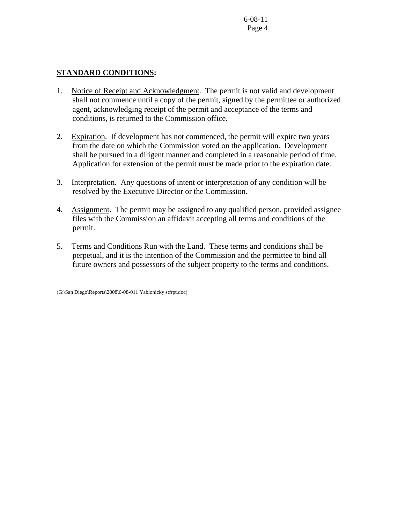# **STANDARD CONDITIONS:**

- 1. Notice of Receipt and Acknowledgment. The permit is not valid and development shall not commence until a copy of the permit, signed by the permittee or authorized agent, acknowledging receipt of the permit and acceptance of the terms and conditions, is returned to the Commission office.
- 2. Expiration. If development has not commenced, the permit will expire two years from the date on which the Commission voted on the application. Development shall be pursued in a diligent manner and completed in a reasonable period of time. Application for extension of the permit must be made prior to the expiration date.
- 3. Interpretation. Any questions of intent or interpretation of any condition will be resolved by the Executive Director or the Commission.
- 4. Assignment. The permit may be assigned to any qualified person, provided assignee files with the Commission an affidavit accepting all terms and conditions of the permit.
- 5. Terms and Conditions Run with the Land. These terms and conditions shall be perpetual, and it is the intention of the Commission and the permittee to bind all future owners and possessors of the subject property to the terms and conditions.

(G:\San Diego\Reports\2008\6-08-011 Yablonicky stfrpt.doc)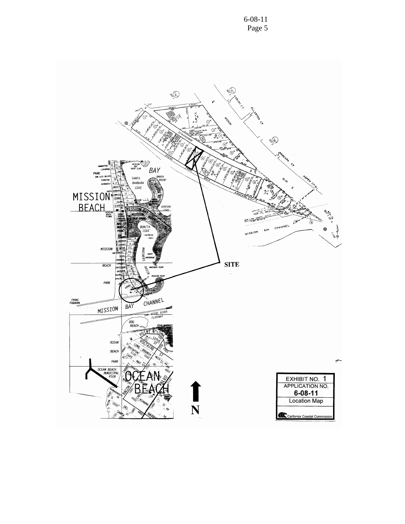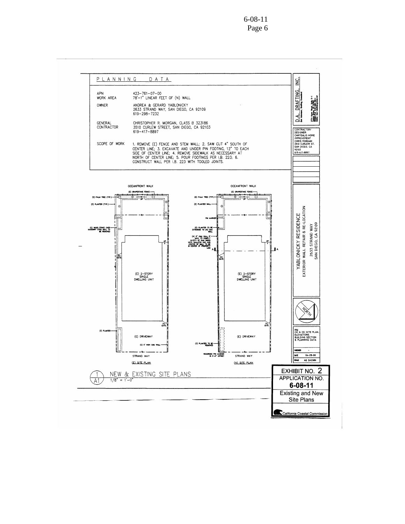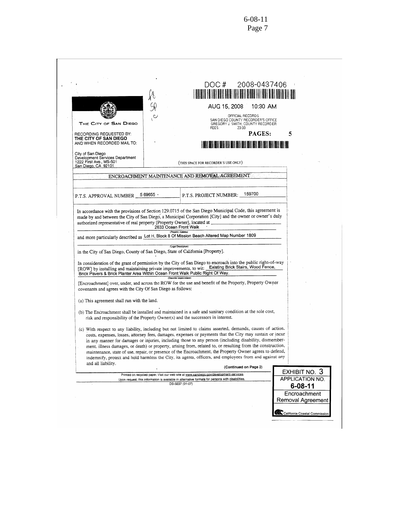|                                                                                                               |                       | DOC#<br>I HEREINE IN DIE NEU EEN TE HIJ DIE BEGIN DIE BIJ DIE BIJ DIE BIJ DIE BIJ DIE BIJ DIE BIJ DIE BIJ DIE BIJ DIE                                                                                                                                                                                                                                                                                                                                                                                                                                                                                                                                                   | 2008-0437406                                       |
|---------------------------------------------------------------------------------------------------------------|-----------------------|-------------------------------------------------------------------------------------------------------------------------------------------------------------------------------------------------------------------------------------------------------------------------------------------------------------------------------------------------------------------------------------------------------------------------------------------------------------------------------------------------------------------------------------------------------------------------------------------------------------------------------------------------------------------------|----------------------------------------------------|
|                                                                                                               | $\circ$ ,             | AUG 15, 2008<br>OFFICIAL RECORDS<br>SAN DIEGO COUNTY RECORDER'S OFFICE                                                                                                                                                                                                                                                                                                                                                                                                                                                                                                                                                                                                  | 10:30 AM                                           |
| THE CITY OF SAN DIEGO<br>RECORDING REQUESTED BY:<br>THE CITY OF SAN DIEGO                                     |                       | GREGORY J. SMITH, COUNTY RECORDER<br>FEES:<br>23.00                                                                                                                                                                                                                                                                                                                                                                                                                                                                                                                                                                                                                     | PAGES:<br>5                                        |
| AND WHEN RECORDED MAIL TO:<br>City of San Diego<br>Development Services Department<br>1222 First Ave., MS-501 |                       |                                                                                                                                                                                                                                                                                                                                                                                                                                                                                                                                                                                                                                                                         | H RI A RI ALAM AN AN AN AN AI                      |
| San Diego, CA 92101                                                                                           |                       | (THIS SPACE FOR RECORDER'S USE ONLY)<br>ENCROACHMENT MAINTENANCE AND REMOVAL AGREEMENT                                                                                                                                                                                                                                                                                                                                                                                                                                                                                                                                                                                  |                                                    |
|                                                                                                               |                       |                                                                                                                                                                                                                                                                                                                                                                                                                                                                                                                                                                                                                                                                         |                                                    |
| P.T.S. APPROVAL NUMBER                                                                                        | 569655                | 159700<br>P.T.S. PROJECT NUMBER:                                                                                                                                                                                                                                                                                                                                                                                                                                                                                                                                                                                                                                        |                                                    |
| in the City of San Diego, County of San Diego, State of California [Property].                                | 2633 Ocean Front Walk | (Property Address)<br>and more particularly described as Lot H, Block 8 Of Mission Beach Altered Map Number 1809<br>(Legal Description)<br>In consideration of the grant of permission by the City of San Diego to encroach into the public right-of-way<br>[ROW] by installing and maintaining private improvements, to wit: Existing Brick Stairs, Wood Fence,                                                                                                                                                                                                                                                                                                        |                                                    |
| Brick Pavers & Brick Planter Area Within Ocean Front Walk Public Right Of Way.                                |                       | (Describe Improvement)                                                                                                                                                                                                                                                                                                                                                                                                                                                                                                                                                                                                                                                  |                                                    |
| covenants and agrees with the City Of San Diego as follows:                                                   |                       | [Encroachment] over, under, and across the ROW for the use and benefit of the Property, Property Owner                                                                                                                                                                                                                                                                                                                                                                                                                                                                                                                                                                  |                                                    |
| (a) This agreement shall run with the land.                                                                   |                       |                                                                                                                                                                                                                                                                                                                                                                                                                                                                                                                                                                                                                                                                         |                                                    |
| risk and responsibility of the Property Owner(s) and the successors in interest.                              |                       | (b) The Encroachment shall be installed and maintained in a safe and sanitary condition at the sole cost,                                                                                                                                                                                                                                                                                                                                                                                                                                                                                                                                                               |                                                    |
| and all liability.                                                                                            |                       | (c) With respect to any liability, including but not limited to claims asserted, demands, causes of action.<br>costs, expenses, losses, attorney fees, damages, expenses or payments that the City may sustain or incur<br>in any manner for damages or injuries, including those to any person (including disability, dismember-<br>ment, illness damages, or death) or property, arising from, related to, or resulting from the construction,<br>maintenance, state of use, repair, or presence of the Encroachment, the Property Owner agrees to defend,<br>indemnify, protect and hold harmless the City, its agents, officers, and employees from and against any |                                                    |
|                                                                                                               |                       | (Continued on Page 2)                                                                                                                                                                                                                                                                                                                                                                                                                                                                                                                                                                                                                                                   | EXHIBIT NO. 3                                      |
|                                                                                                               |                       | Printed on recycled paper. Visit our web site at www.sandiego.gov/development-services.<br>Upon request, this information is available in alternative formats for persons with disabilities.                                                                                                                                                                                                                                                                                                                                                                                                                                                                            | APPLICATION NO.                                    |
|                                                                                                               |                       | DS-3237 (01-07)                                                                                                                                                                                                                                                                                                                                                                                                                                                                                                                                                                                                                                                         | $6 - 08 - 11$<br>Encroachment<br>Removal Agreement |
|                                                                                                               |                       |                                                                                                                                                                                                                                                                                                                                                                                                                                                                                                                                                                                                                                                                         |                                                    |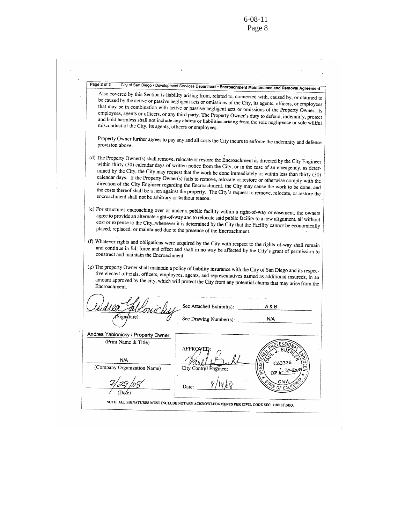$\hat{\mathcal{L}}$ 

ł,

| misconduct of the City, its agents, officers or employees. | City of San Diego . Development Services Department . Encroachment Maintenance and Removal Agreement<br>Also covered by this Section is liability arising from, related to, connected with, caused by, or claimed to<br>be caused by the active or passive negligent acts or omissions of the City, its agents, officers, or employees<br>that may be in combination with active or passive negligent acts or omissions of the Property Owner, its<br>employees, agents or officers, or any third party. The Property Owner's duty to defend, indemnify, protect<br>and hold harmless shall not include any claims or liabilities arising from the sole negligence or sole willful |
|------------------------------------------------------------|------------------------------------------------------------------------------------------------------------------------------------------------------------------------------------------------------------------------------------------------------------------------------------------------------------------------------------------------------------------------------------------------------------------------------------------------------------------------------------------------------------------------------------------------------------------------------------------------------------------------------------------------------------------------------------|
| provision above.                                           | Property Owner further agrees to pay any and all costs the City incurs to enforce the indemnity and defense                                                                                                                                                                                                                                                                                                                                                                                                                                                                                                                                                                        |
| encroachment shall not be arbitrary or without reason.     | (d) The Property Owner(s) shall remove, relocate or restore the Encroachment as directed by the City Engineer<br>within thirty (30) calendar days of written notice from the City, or in the case of an emergency, as deter-<br>mined by the City, the City may request that the work be done immediately or within less than thirty (30)<br>calendar days. If the Property Owner(s) fails to remove, relocate or restore or otherwise comply with the<br>direction of the City Engineer regarding the Encroachment, the City may cause the work to be done, and<br>the costs thereof shall be a lien against the property. The City's request to remove, relocate, or restore the |
|                                                            | (e) For structures encroaching over or under a public facility within a right-of-way or easement, the owners<br>agree to provide an alternate right-of-way and to relocate said public facility to a new alignment, all without<br>cost or expense to the City, whenever it is determined by the City that the Facility cannot be economically<br>placed, replaced, or maintained due to the presence of the Encroachment.                                                                                                                                                                                                                                                         |
|                                                            |                                                                                                                                                                                                                                                                                                                                                                                                                                                                                                                                                                                                                                                                                    |
| construct and maintain the Encroachment.                   | (f) Whatever rights and obligations were acquired by the City with respect to the rights-of-way shall remain<br>and continue in full force and effect and shall in no way be affected by the City's grant of permission to<br>(g) The property Owner shall maintain a policy of liability insurance with the City of San Diego and its respec-                                                                                                                                                                                                                                                                                                                                     |
| Encroachment.                                              | tive elected officials, officers, employees, agents, and representatives named as additional insureds, in an<br>amount approved by the city, which will protect the City from any potential claims that may arise from the                                                                                                                                                                                                                                                                                                                                                                                                                                                         |
|                                                            | See Attached Exhibit(s): $\frac{1}{\sqrt{1-\frac{1}{\sqrt{1-\frac{1}{\sqrt{1-\frac{1}{\sqrt{1-\frac{1}{\sqrt{1-\frac{1}{\sqrt{1-\frac{1}{\sqrt{1-\frac{1}{\sqrt{1-\frac{1}{\sqrt{1-\frac{1}{\sqrt{1-\frac{1}{\sqrt{1-\frac{1}{\sqrt{1-\frac{1}{\sqrt{1-\frac{1}{\sqrt{1-\frac{1}{\sqrt{1-\frac{1}{\sqrt{1-\frac{1}{\sqrt{1-\frac{1}{\sqrt{1-\frac{1}{\sqrt{1-\frac{1}{\sqrt{1-\frac{1}{\sqrt{1-\frac{1}{\$<br>A & B                                                                                                                                                                                                                                                                |
|                                                            | See Drawing Number(s):<br>N/A                                                                                                                                                                                                                                                                                                                                                                                                                                                                                                                                                                                                                                                      |
|                                                            |                                                                                                                                                                                                                                                                                                                                                                                                                                                                                                                                                                                                                                                                                    |
| Andrea Yablonicky / Property Owner                         |                                                                                                                                                                                                                                                                                                                                                                                                                                                                                                                                                                                                                                                                                    |
| (Print Name & Title)                                       | APPROJ                                                                                                                                                                                                                                                                                                                                                                                                                                                                                                                                                                                                                                                                             |
| N/A                                                        |                                                                                                                                                                                                                                                                                                                                                                                                                                                                                                                                                                                                                                                                                    |
| (Company Organization Name)                                | City Control Engineer                                                                                                                                                                                                                                                                                                                                                                                                                                                                                                                                                                                                                                                              |
|                                                            | REGI<br>$ESP. (c - 30 - 20)$<br>сw<br>Date:<br>OF C.N                                                                                                                                                                                                                                                                                                                                                                                                                                                                                                                                                                                                                              |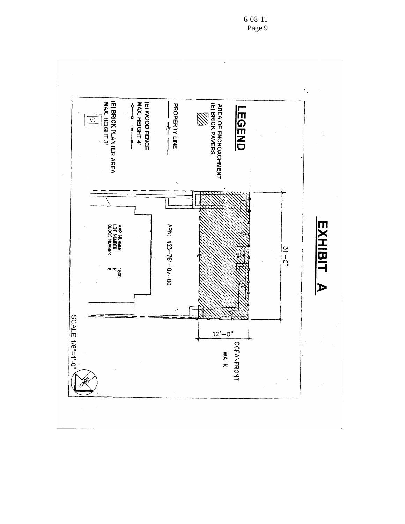

6-08-11 Page 9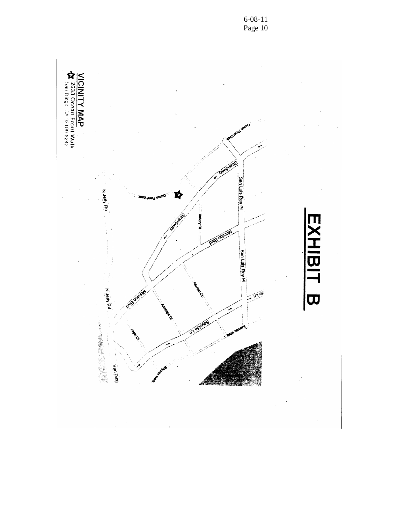

6-08-11 Page 10